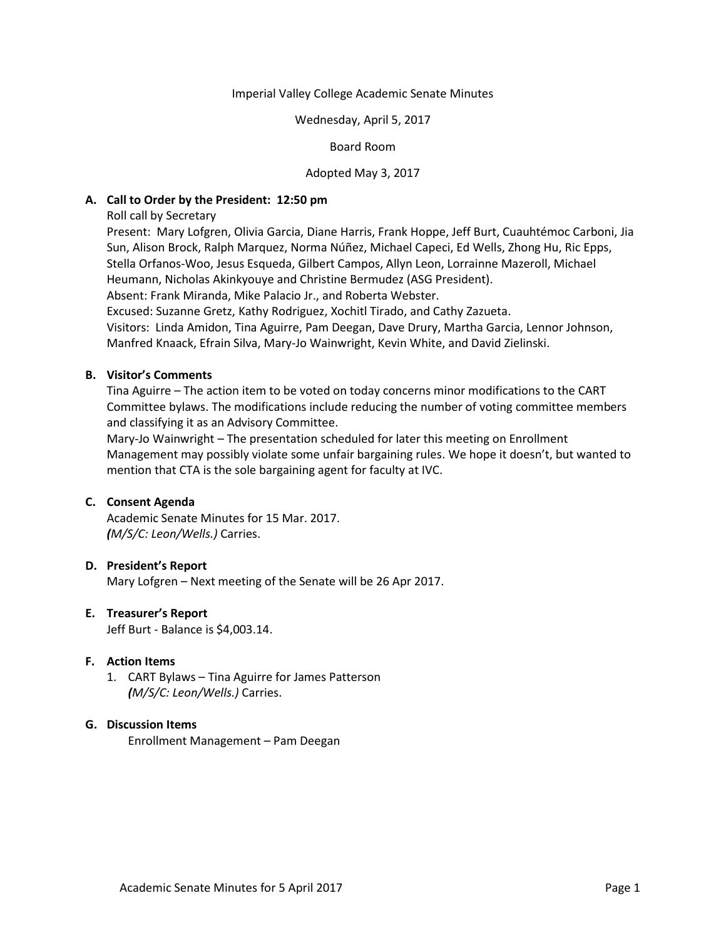### Imperial Valley College Academic Senate Minutes

#### Wednesday, April 5, 2017

### Board Room

### Adopted May 3, 2017

### **A. Call to Order by the President: 12:50 pm**

Roll call by Secretary

Present: Mary Lofgren, Olivia Garcia, Diane Harris, Frank Hoppe, Jeff Burt, Cuauhtémoc Carboni, Jia Sun, Alison Brock, Ralph Marquez, Norma Núñez, Michael Capeci, Ed Wells, Zhong Hu, Ric Epps, Stella Orfanos-Woo, Jesus Esqueda, Gilbert Campos, Allyn Leon, Lorrainne Mazeroll, Michael Heumann, Nicholas Akinkyouye and Christine Bermudez (ASG President).

Absent: Frank Miranda, Mike Palacio Jr., and Roberta Webster.

Excused: Suzanne Gretz, Kathy Rodriguez, Xochitl Tirado, and Cathy Zazueta.

Visitors: Linda Amidon, Tina Aguirre, Pam Deegan, Dave Drury, Martha Garcia, Lennor Johnson, Manfred Knaack, Efrain Silva, Mary-Jo Wainwright, Kevin White, and David Zielinski.

### **B. Visitor's Comments**

Tina Aguirre – The action item to be voted on today concerns minor modifications to the CART Committee bylaws. The modifications include reducing the number of voting committee members and classifying it as an Advisory Committee.

Mary-Jo Wainwright – The presentation scheduled for later this meeting on Enrollment Management may possibly violate some unfair bargaining rules. We hope it doesn't, but wanted to mention that CTA is the sole bargaining agent for faculty at IVC.

# **C. Consent Agenda**

Academic Senate Minutes for 15 Mar. 2017. *(M/S/C: Leon/Wells.)* Carries.

# **D. President's Report**

Mary Lofgren – Next meeting of the Senate will be 26 Apr 2017.

### **E. Treasurer's Report**

Jeff Burt - Balance is \$4,003.14.

### **F. Action Items**

1. CART Bylaws – Tina Aguirre for James Patterson *(M/S/C: Leon/Wells.)* Carries.

# **G. Discussion Items**

Enrollment Management – Pam Deegan